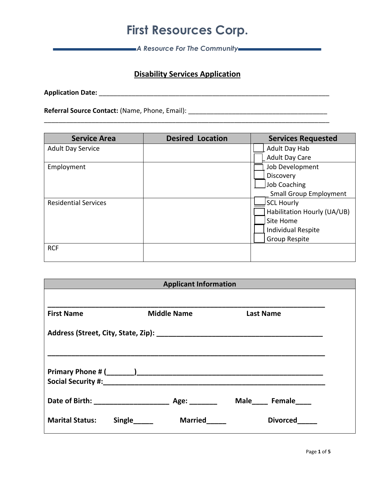*A Resource For The Community*

#### **Disability Services Application**

**Application Date:** \_\_\_\_\_\_\_\_\_\_\_\_\_\_\_\_\_\_\_\_\_\_\_\_\_\_\_\_\_\_\_\_\_\_\_\_\_\_\_\_\_\_\_\_\_\_\_\_\_\_\_\_\_\_\_\_\_\_\_\_\_\_\_

**Referral Source Contact:** (Name, Phone, Email): \_\_\_\_\_\_\_\_\_\_\_\_\_\_\_\_\_\_\_\_\_\_\_\_\_\_\_\_\_\_\_\_\_\_\_\_\_\_

| <b>Service Area</b>         | <b>Desired Location</b> | <b>Services Requested</b>     |
|-----------------------------|-------------------------|-------------------------------|
| <b>Adult Day Service</b>    |                         | Adult Day Hab                 |
|                             |                         | <b>Adult Day Care</b>         |
| Employment                  |                         | Job Development               |
|                             |                         | Discovery                     |
|                             |                         | Job Coaching                  |
|                             |                         | <b>Small Group Employment</b> |
| <b>Residential Services</b> |                         | <b>SCL Hourly</b>             |
|                             |                         | Habilitation Hourly (UA/UB)   |
|                             |                         | Site Home                     |
|                             |                         | <b>Individual Respite</b>     |
|                             |                         | Group Respite                 |
| <b>RCF</b>                  |                         |                               |
|                             |                         |                               |

| <b>Applicant Information</b>        |        |                    |  |                  |  |
|-------------------------------------|--------|--------------------|--|------------------|--|
|                                     |        |                    |  |                  |  |
| <b>First Name</b>                   |        | <b>Middle Name</b> |  | <b>Last Name</b> |  |
|                                     |        |                    |  |                  |  |
|                                     |        |                    |  |                  |  |
|                                     |        |                    |  |                  |  |
|                                     |        |                    |  |                  |  |
| Date of Birth: ____________________ |        | Age: $\_\_$        |  | Male Female      |  |
| <b>Marital Status:</b>              | Single | <b>Married</b>     |  | <b>Divorced</b>  |  |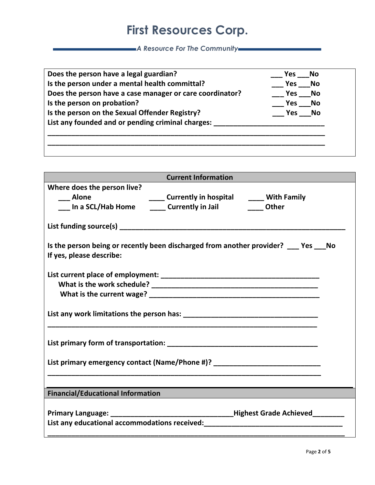*A Resource For The Community*

|                                                          | Yes<br><b>No</b> |
|----------------------------------------------------------|------------------|
| Is the person under a mental health committal?           | Yes<br>No        |
| Does the person have a case manager or care coordinator? | Yes<br>No        |
| Is the person on probation?                              | Yes<br>No        |
| Is the person on the Sexual Offender Registry?           | No<br>Yes        |
| List any founded and or pending criminal charges:        |                  |

| <b>Current Information</b>                                                                                                             |  |  |  |  |
|----------------------------------------------------------------------------------------------------------------------------------------|--|--|--|--|
| Where does the person live?<br>Alone                                                                                                   |  |  |  |  |
| ____ Alone         _____ Currently in hospital   _____ With Family<br>____ In a SCL/Hab Home   _____ Currently in Jail     _____ Other |  |  |  |  |
|                                                                                                                                        |  |  |  |  |
| Is the person being or recently been discharged from another provider? Yes No<br>If yes, please describe:                              |  |  |  |  |
|                                                                                                                                        |  |  |  |  |
|                                                                                                                                        |  |  |  |  |
|                                                                                                                                        |  |  |  |  |
| List primary emergency contact (Name/Phone #)? _________________________________                                                       |  |  |  |  |
| <b>Financial/Educational Information</b>                                                                                               |  |  |  |  |
|                                                                                                                                        |  |  |  |  |
|                                                                                                                                        |  |  |  |  |
|                                                                                                                                        |  |  |  |  |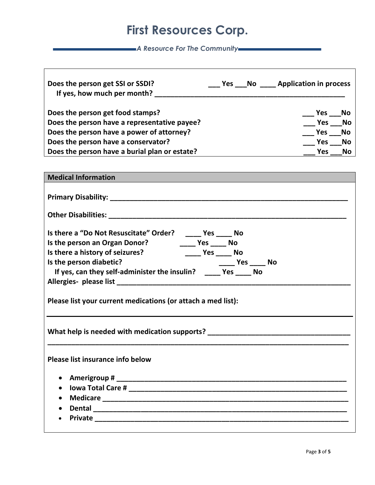*A Resource For The Community*

| Does the person get SSI or SSDI?<br>If yes, how much per month? | Yes No | <b>Application in process</b> |  |
|-----------------------------------------------------------------|--------|-------------------------------|--|
| Does the person get food stamps?                                |        | Yes<br>No                     |  |
| Does the person have a representative payee?                    |        | No<br>Yes                     |  |
| Does the person have a power of attorney?                       |        | No<br>Yes                     |  |
| Does the person have a conservator?                             |        | <b>Yes</b><br>No              |  |
| Does the person have a burial plan or estate?                   |        | <b>No</b><br><b>Yes</b>       |  |

| <b>Medical Information</b>                                                                                                                                                                                                                                                                                                       |  |  |  |  |
|----------------------------------------------------------------------------------------------------------------------------------------------------------------------------------------------------------------------------------------------------------------------------------------------------------------------------------|--|--|--|--|
|                                                                                                                                                                                                                                                                                                                                  |  |  |  |  |
|                                                                                                                                                                                                                                                                                                                                  |  |  |  |  |
| Is there a "Do Not Resuscitate" Order? _____ Yes ____ No<br>Is the person an Organ Donor? ________ Yes ______ No<br>Is there a history of seizures? The Controller Mondon Mondon Mondon Mondon Mondon Mondon Mondon Mondon Mondon<br>Is the person diabetic?<br>If yes, can they self-administer the insulin? _____ Yes _____ No |  |  |  |  |
| Please list your current medications (or attach a med list):                                                                                                                                                                                                                                                                     |  |  |  |  |
| What help is needed with medication supports? __________________________________                                                                                                                                                                                                                                                 |  |  |  |  |
| Please list insurance info below                                                                                                                                                                                                                                                                                                 |  |  |  |  |
|                                                                                                                                                                                                                                                                                                                                  |  |  |  |  |
| $\bullet$                                                                                                                                                                                                                                                                                                                        |  |  |  |  |
|                                                                                                                                                                                                                                                                                                                                  |  |  |  |  |
|                                                                                                                                                                                                                                                                                                                                  |  |  |  |  |
|                                                                                                                                                                                                                                                                                                                                  |  |  |  |  |
|                                                                                                                                                                                                                                                                                                                                  |  |  |  |  |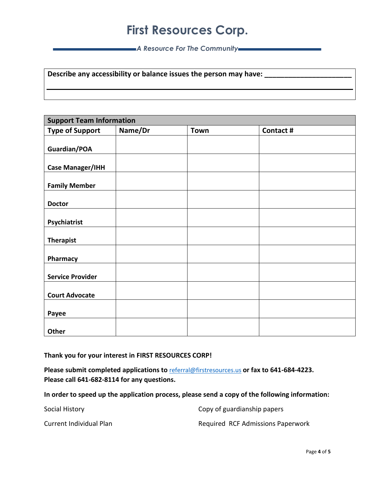*A Resource For The Community*

**Describe any accessibility or balance issues the person may have:** 

| <b>Support Team Information</b> |         |             |           |
|---------------------------------|---------|-------------|-----------|
| <b>Type of Support</b>          | Name/Dr | <b>Town</b> | Contact # |
|                                 |         |             |           |
| Guardian/POA                    |         |             |           |
| <b>Case Manager/IHH</b>         |         |             |           |
| <b>Family Member</b>            |         |             |           |
| <b>Doctor</b>                   |         |             |           |
| Psychiatrist                    |         |             |           |
| <b>Therapist</b>                |         |             |           |
| Pharmacy                        |         |             |           |
| <b>Service Provider</b>         |         |             |           |
| <b>Court Advocate</b>           |         |             |           |
| Payee                           |         |             |           |
| Other                           |         |             |           |

**Thank you for your interest in FIRST RESOURCES CORP!**

**Please submit completed applications to** [referral@firstresources.us](mailto:referral@firstresources.us) **or fax to 641-684-4223. Please call 641-682-8114 for any questions.** 

**In order to speed up the application process, please send a copy of the following information:**

| Social History          | Copy of guardianship papers       |
|-------------------------|-----------------------------------|
| Current Individual Plan | Required RCF Admissions Paperwork |